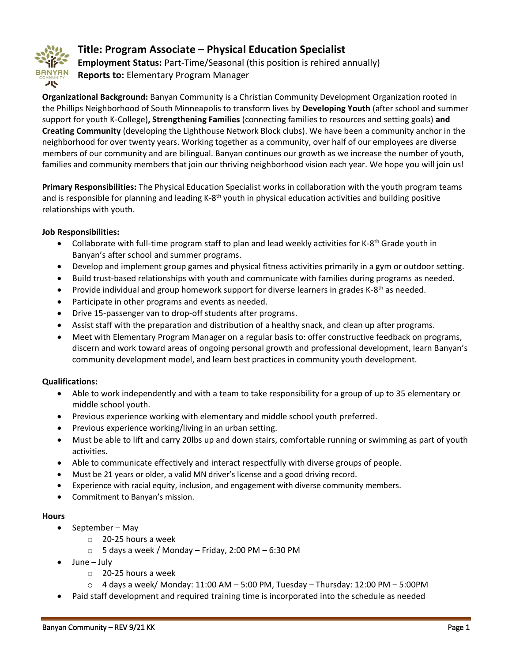

# **Title: Program Associate – Physical Education Specialist**

**Employment Status:** Part-Time/Seasonal (this position is rehired annually) **Reports to:** Elementary Program Manager

**Organizational Background:** Banyan Community is a Christian Community Development Organization rooted in the Phillips Neighborhood of South Minneapolis to transform lives by **Developing Youth** (after school and summer support for youth K-College)**, Strengthening Families** (connecting families to resources and setting goals) **and Creating Community** (developing the Lighthouse Network Block clubs). We have been a community anchor in the neighborhood for over twenty years. Working together as a community, over half of our employees are diverse members of our community and are bilingual. Banyan continues our growth as we increase the number of youth, families and community members that join our thriving neighborhood vision each year. We hope you will join us!

**Primary Responsibilities:** The Physical Education Specialist works in collaboration with the youth program teams and is responsible for planning and leading K-8<sup>th</sup> youth in physical education activities and building positive relationships with youth.

## **Job Responsibilities:**

- Collaborate with full-time program staff to plan and lead weekly activities for K-8<sup>th</sup> Grade youth in Banyan's after school and summer programs.
- Develop and implement group games and physical fitness activities primarily in a gym or outdoor setting.
- Build trust-based relationships with youth and communicate with families during programs as needed.
- Provide individual and group homework support for diverse learners in grades K-8<sup>th</sup> as needed.
- Participate in other programs and events as needed.
- Drive 15-passenger van to drop-off students after programs.
- Assist staff with the preparation and distribution of a healthy snack, and clean up after programs.
- Meet with Elementary Program Manager on a regular basis to: offer constructive feedback on programs, discern and work toward areas of ongoing personal growth and professional development, learn Banyan's community development model, and learn best practices in community youth development.

## **Qualifications:**

- Able to work independently and with a team to take responsibility for a group of up to 35 elementary or middle school youth.
- Previous experience working with elementary and middle school youth preferred.
- Previous experience working/living in an urban setting.
- Must be able to lift and carry 20lbs up and down stairs, comfortable running or swimming as part of youth activities.
- Able to communicate effectively and interact respectfully with diverse groups of people.
- Must be 21 years or older, a valid MN driver's license and a good driving record.
- Experience with racial equity, inclusion, and engagement with diverse community members.
- Commitment to Banyan's mission.

#### **Hours**

- $\bullet$  September May
	- o 20-25 hours a week
	- $\circ$  5 days a week / Monday Friday, 2:00 PM 6:30 PM
- June July
	- o 20-25 hours a week
	- $\circ$  4 days a week/ Monday: 11:00 AM 5:00 PM, Tuesday Thursday: 12:00 PM 5:00 PM
- Paid staff development and required training time is incorporated into the schedule as needed